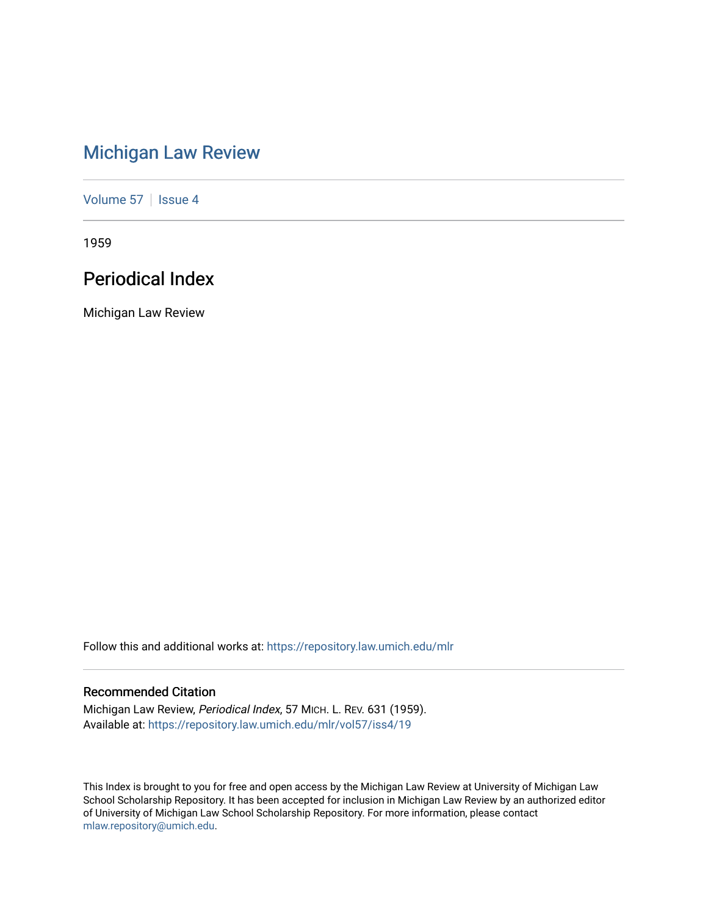# [Michigan Law Review](https://repository.law.umich.edu/mlr)

[Volume 57](https://repository.law.umich.edu/mlr/vol57) | [Issue 4](https://repository.law.umich.edu/mlr/vol57/iss4)

1959

# Periodical Index

Michigan Law Review

Follow this and additional works at: [https://repository.law.umich.edu/mlr](https://repository.law.umich.edu/mlr?utm_source=repository.law.umich.edu%2Fmlr%2Fvol57%2Fiss4%2F19&utm_medium=PDF&utm_campaign=PDFCoverPages) 

# Recommended Citation

Michigan Law Review, Periodical Index, 57 MICH. L. REV. 631 (1959). Available at: [https://repository.law.umich.edu/mlr/vol57/iss4/19](https://repository.law.umich.edu/mlr/vol57/iss4/19?utm_source=repository.law.umich.edu%2Fmlr%2Fvol57%2Fiss4%2F19&utm_medium=PDF&utm_campaign=PDFCoverPages) 

This Index is brought to you for free and open access by the Michigan Law Review at University of Michigan Law School Scholarship Repository. It has been accepted for inclusion in Michigan Law Review by an authorized editor of University of Michigan Law School Scholarship Repository. For more information, please contact [mlaw.repository@umich.edu.](mailto:mlaw.repository@umich.edu)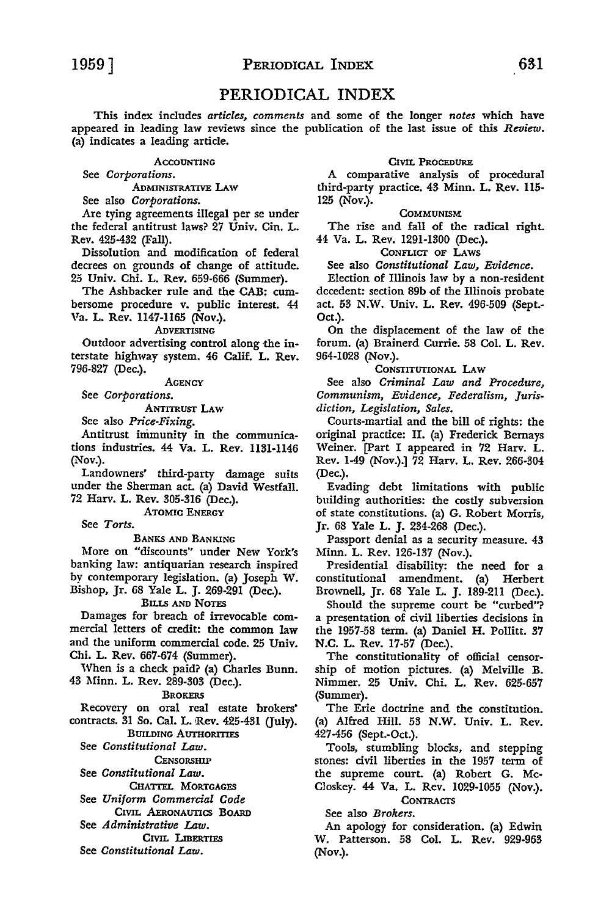# PERIODICAL INDEX

This index includes *articles, comments* and some of the longer *notes* which have appeared in leading law reviews since the publication of the last issue of this *Review.*  (a) indicates a leading article.

ACCOUNTING

See *Corporations.* 

ADMINISTRATIVE LAW

See also *Corporations.* 

Are tying agreements illegal per se under the federal antitrust laws? 27 Univ. Cin. L. Rev. 425-432 (Fall).

Dissolution and modification of federal decrees on grounds of change of attitude. 25 Univ. Chi. L. Rev. 659-666 (Summer).

The Ashbacker rule and the CAB: cumbersome procedure v. public interest. 44 Va. L. Rev. 1147-1165 (Nov.).

ADVERTISING

Outdoor advertising control along the interstate highway system. 46 Calif. L. Rev. 796-827 (Dec.).

**AGENCY** 

See *Corporations.* 

ANTITRusr LAW

See also *Price-Fixing.* 

Antitrust immunity in the communications industries. 44 Va. L. Rev. 1131-1146 (Nov.).

Landowners' third-party damage suits under the Sherman act. (a) David Westfall. 72 Harv. L. Rev. 305-316 (Dec.).

ATOMIC ENERGY

See *Torts.* 

BANKS AND BANKING

More on "discounts" under New York's banking law: antiquarian research inspired by contemporary legislation. (a) Joseph W. Bishop, Jr. 68 Yale L. J. 269-291 (Dec.).

# BILLS AND NOTES

Damages for breach of irrevocable commercial letters of credit: the common law and the uniform commercial code. 25 Univ. Chi. L. Rev. 667-674 (Summer).

When is a check paid? (a) Charles Bunn. 43 Minn. L. Rev. 289-303 (Dec.).

**BROKERS** 

Recovery on oral real estate brokers' contracts. 31 So. Cal. L. Rev. 425-431 (July).

BUILDING AUTHORITIES

See *Constitutional Law.* 

**CENSORSHIP** 

See *Constitutional Law.* 

CHATrEL MORTGAGES

See *Uniform Commercial Code*  CIVIL AERONAUTICS BOARD

See *Administrative Law.* 

CIVIL LIBERTIES

See *Constitutional Law.* 

# CIVIL PROCEDURE

A comparative analysis of procedural third-party practice. 43 Minn. L. Rev. 115- 125 (Nov.).

#### COMMUNISM:

The rise and fall of the radical right. 44 Va. L. Rev. 1291-1300 (Dec.).

CONFLICT OF LAWS

See also *Constitutional Law, Evidence.* 

Election of Illinois law by a non-resident decedent: section 89b of the Illinois probate act. 53 N.W. Univ. L. Rev. 496-509 (Sept.- Oct.).

On the displacement of the law of the forum. (a) Brainerd Currie. 58 Col. L. Rev. 964-1028 (Nov.).

# CoNsrITUTIONAL LAW

See also *Criminal Law and Procedure, Communism, Evidence, Federalism, Jurisdiction, Legislation, Sales.* 

Courts-martial and the bill of rights: the original practice: II. (a) Frederick Bernays Weiner. [Part I appeared in 72 Harv. L. Rev. 1-49 (Nov.).] 72 Harv. L. Rev. 266-304 (Dec.).

Evading debt limitations with public building authorities: the costly subversion of state constitutions. (a) **G.** Robert Morris, Jr. 68 Yale L. J. 234-268 (Dec.).

Passport denial as a security measure. 43 Minn. L. Rev. 126-137 (Nov.).

Presidential disability: the need for a constitutional amendment. (a) Herbert Brownell, Jr. 68 Yale L. J. 189-211 (Dec.).

Should the supreme court be "curbed"? a presentation of civil liberties decisions in the 1957-58 term. (a) Daniel H. Pollitt. 37 N.C. L. Rev. 17-57 (Dec.).

The constitutionality of official censorship of motion pictures. (a) Melville B. Nimmer. 25 Univ. Chi. L. Rev. 625-657 (Summer).

The Erie doctrine and the constitution. (a) Alfred Hill. 53 **N.W.** Univ. L. Rev. 427-456 (Sept.-Oct.).

Tools, stumbling blocks, and stepping stones: civil liberties in the 1957 term of the supreme court. (a) Robert G. Mc-Closkey. 44 Va. L. Rev. 1029-1055 (Nov.). **CONTRACTS** 

See also *Brokers.* 

An apology for consideration. (a) Edwin W. Patterson. 58 Col. L. Rev. 929-963 (Nov.).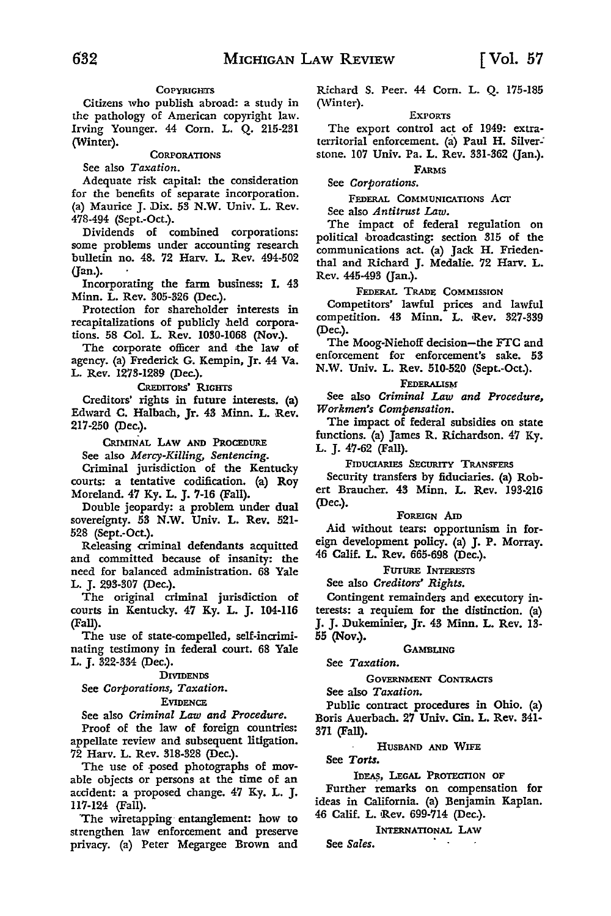# **COPYRIGHTS**

Citizens who publish abroad: a study in the pathology of American copyright law. Irving Younger. 44 Com. L. Q. 215-231 (Winter).

## **CORPORATIONS**

See also *Taxation.* 

Adequate risk capital: the consideration for the benefits of separate incorporation. (a) Maurice J. Dix. 53 N.W. Univ. L. Rev. 478-494 (Sept.-Oct.).

Dividends of combined corporations: some problems under accounting research bulletin no. 48. 72 Harv. L. Rev. 494-502 (Jan.).

Incorporating the farm business: I. 43 Minn. L. Rev. 305-326 (Dec.).

Protection for shareholder interests in recapitalizations of publicly held corporations. 58 Col. L. Rev. 1030-1068 (Nov.).

The corporate officer and the law of agency. (a) Frederick G. Kempin, Jr. 44 Va. L. Rev. 1273-1289 (Dec.).

CREDITORS' RIGHTS

Creditors' rights in future interests. (a) Edward C. Halbach, Jr. 43 Minn. L. Rev. 217-250 (Dec.).

CRIMINAL LAW AND PROCEDURE

See also *Mercy-Killing, Sentencing.* 

Criminal jurisdiction of the Kentucky courts: a tentative codification. (a) Roy Moreland. 47 Ky. L. J. 7-16 (Fall).

Double jeopardy: a problem under dual sovereignty. 53 **N.W.** Univ. **L. Rev.** 521- 528 (Sept.-Oct.).

Releasing criminal defendants acquitted and committed because of insanity: the need for balanced administration. 68 Yale L. J. 293-307 (Dec.).

The original criminal jurisdiction of courts in Kentucky. 47 Ky. L. J. 104-116 (Fall).

The use of state-compelled, self-incriminating testimony in federal court. 68 Yale L. J. 322-334 (Dec.).

DIVIDENDS

See *Corporations, Taxation.* 

**EVIDENCE** 

See also *Criminal Law and Procedure.* 

Proof of the law of foreign countries: appellate review and subsequent litigation. 72 Harv. L. Rev. 318-328 (Dec.).

The use of posed photographs of movable objects or persons at the time of an accident: a proposed change. 47 Ky. L. J. 117-124 (Fall).

"The wiretapping· entanglement: how to strengthen law enforcement and preserve privacy. (a) Peter Megargee Brown and Richard S. Peer. 44 Com. L. Q. 175-185 (Winter).

#### EXPORTS

The export control act of 1949: extraterritorial enforcement. (a) Paul H. Silver-· stone. 107 Univ. Pa. L. Rev. 331-362 (Jan.).

FARMS See *Corporations.* 

FEDERAL COMMUNICATIONS Acr

See also *Antitrust* Law.

The impact of federal regulation on political ,broadcasting: section 315 of the communications act. (a) Jack H. Friedenthal and Richard J. Medalie. 72 Harv. L. Rev. 445-493 (Jan.).

# FEDERAL TRADE COMMISSION

Competitors' lawful prices and lawful competition. 43 Minn. L. Rev. 327-339 (Dec.).

The Moog-Niehoff decision-the FTC and enforcement for enforcement's sake. 53 N.W. Univ. L. Rev. 510-520 (Sept.-Oct.).

# FEDERALISM

See also *Criminal Law and Procedure*, *Workmen's Compensation.* 

The impact of federal subsidies on state functions. (a) James R. Richardson. 47 Ky. L. J. 47-62 (Fall).

FIDUCIARIES SECURITY TRANSFERS

Security transfers by fiduciaries. (a) Robert Braucher. 43 Minn. L. Rev. 193-216 (Dec.).

## FOREIGN Am

Aid without tears: opportunism in foreign development policy. (a) J. P. Morray. 46 Calif. L. Rev. 665-698 (Dec.).

FUTURE INTERESTS

See also *Creditors' Rights.* 

Contingent remainders and executory interests: a requiem for the distinction. (a) J. J. Dukeminier, Jr. 43 Minn. L. Rev. 13- 55 (Nov.).

GAMBLING

See *Taxation.* 

GOVERNMENT CONTRACTS

See also *Taxation.* 

Public contract procedures in Ohio. (a) Boris Auerbach. 27 Univ. Cin. L. Rev. 341- 371 (Fall).

# HUSBAND AND WIFE

See *Torts.* 

IDEAS, LEGAL PROTECTION OF

Further remarks on compensation for ideas in California. (a) Benjamin Kaplan. 46 Calif. L. Rev. 699-714 (Dec.).

INTERNATIONAL LAW

See *Sales.*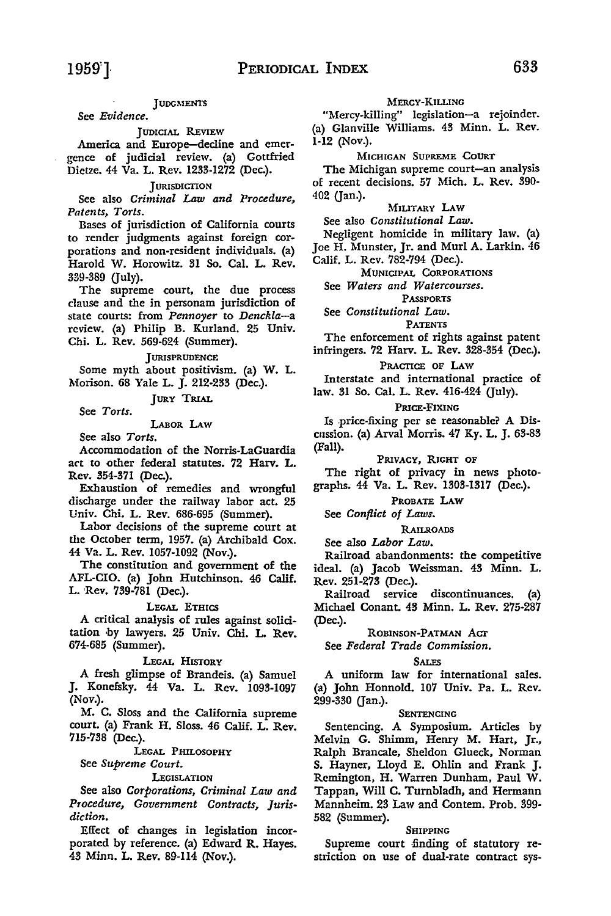#### **JUDGMENTS**

See *Evidence.* 

#### JUDICIAL REVIEW

America and Europe-decline and emergence of judicial review. (a) Gottfried Dietze. 44 Va. L. Rev. 1233-1272 (Dec.).

#### **JURISDICTION**

See also *Criminal Law and Procedure, Patents, Torts.* 

Bases of jurisdiction of California courts to render judgments against foreign corporations and non-resident individuals. (a) Harold W. Horowitz. 31 So. Cal. L. Rev. 339-389 (July).

The supreme court, the due process clause and the in personam jurisdiction of state courts: from *Pennoyer* to *Denckla-a*  review. (a) Philip B. Kurland. 25 Univ. Chi. L. Rev. 569-624 (Summer).

#### **JURISPRUDENCE**

Some myth about positivism. (a) W. L. Morison. 68 Yale L. J. 212-233 (Dec.).

JURY TRIAL

See *Torts.* 

LABOR I.Aw

See also *Torts.* 

Accommodation of the Norris-LaGuardia act to other federal statutes. 72 Harv. L. Rev. 354-371 (Dec.).

Exhaustion of remedies and wrongful discharge under the railway labor act. 25 Univ. Chi. L. Rev. 686-695 (Summer).

Labor decisions of the supreme court at the October term, 1957. (a) Archibald Cox. 44 Va. L. Rev. 1057-1092 (Nov.).

The constitution and government of the AFL-CIO. (a) John Hutchinson. 46 Calif. L. Rev. 739-781 (Dec.).

## LEGAL ETHICS

A critical analysis of rules against solicitation ,by lawyers. 25 Univ. Chi. **L. Rev.**  674-685 (Summer).

#### LEGAL HISTORY

A fresh glimpse of Brandeis. (a) Samuel J. Konefsky. 44 Va. L. Rev. 1093-1097 (Nov.).

M. C. Sloss and the California supreme court. (a) Frank H. Sloss. 46 Calif. L. Rev. 715-738 (Dec.).

LEGAL PHILOSOPHY

#### See *Supreme Court.*

#### **LEGISLATION**

See also *Corporations, Criminal Law and Procedure, Government Contracts, Jurisdiction.* 

Effect of changes in legislation incorporated by reference. (a) Edward R. Hayes. 43 Minn. L. Rev. 89-114 (Nov.).

# MERCY-KILLING

"Mercy-killing" legislation-a rejoinder. (a) Glanvilie Williams. 43 Minn. L. Rev. 1-12 (Nov.).

#### MICHIGAN SUPREME COURT

The Michigan supreme court-an analysis of recent decisions. 57 Mich. L. Rev. 390- 402 (Jan.).

MILITARY LAW

See also *Constitutional Law.* 

Negligent homicide in military law. (a) Joe H. Munster, Jr. and Murl A. Larkin. 46 Calif. L. Rev. 782-794 (Dec.).

MUNICIPAL CORPORATIONS

See *Waters and Watercourses.* 

PASSPORTS

See *Constitutional Law.* 

### PATENTS

The enforcement of rights against patent infringers. 72 Harv. L. Rev. 328-354 (Dec.).

# PRACTICE OF LAW

Interstate and international practice of law. 31 So. Cal. L. Rev. 416-424 (July).

#### PRICE-FIXING

Is price-fixing per se reasonable? A Discussion. (a) Arva! Morris. 47 Ky. L. J. 63-83 (Fall).

#### PRIVACY, RIGHT OF

The right of privacy in news photographs. 44 Va. L. Rev. 1303-1317 (Dec.).

### PROBATE LAW

See *Conflict of Laws.* 

#### RAILROADS

See also *Labor Law.* 

Railroad abandonments: the competitive ideal. (a) Jacob Weissman. 43 Minn. L. Rev. 251-273 (Dec.).

Railroad service discontinuances. (a) Michael Conant. 43 Minn. L. Rev. 275-287 (Dec.).

# ROBINSON-PATMAN ACT

See *Federal Trade Commission.* 

#### SALES

A uniform law for international sales. (a) John Honnold. 107 Univ. Pa. L. Rev. 299-330 (Jan.).

#### SENTENCING

Sentencing. A Symposium. Articles by Melvin G. Shimm, Henry M. Hart, Jr., Ralph Brancale, Sheldon Glueck, Norman S. Hayner, Lloyd E. Ohlin and Frank J. Remington, H. Warren Dunham, Paul W. Tappan, Will C. Turnbladh, and Hermann Mannheim. 23 Law and Contem. Prob. 399- 582 (Summer).

#### SHIPPING

Supreme court finding of statutory restriction on use of dual-rate contract sys